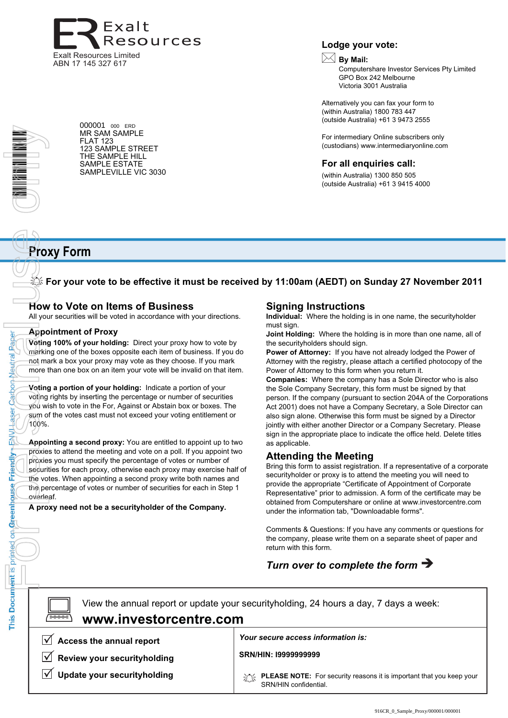

000001 <sup>000</sup> ERD MR SAM SAMPLE FLAT 123

123 SAMPLE STREET THE SAMPLE HILL SAMPLE ESTATE SAMPLEVILLE VIC 3030 **Lodge your vote:**

# **By Mail:**

Computershare Investor Services Pty Limited GPO Box 242 Melbourne Victoria 3001 Australia

Alternatively you can fax your form to (within Australia) 1800 783 447 (outside Australia) +61 3 9473 2555

For intermediary Online subscribers only (custodians) www.intermediaryonline.com

# **For all enquiries call:**

(within Australia) 1300 850 505 (outside Australia) +61 3 9415 4000

# **Proxy Form**

**For your vote to be effective it must be received by 11:00am (AEDT) on Sunday 27 November 2011**

# **How to Vote on Items of Business**

All your securities will be voted in accordance with your directions.

# **Appointment of Proxy**

Paper

Neutral

Carbon

**aser** 

**HANH** 

Friendly

This Document is printed on Greenhouse

**Voting 100% of your holding:** Direct your proxy how to vote by marking one of the boxes opposite each item of business. If you do not mark a box your proxy may vote as they choose. If you mark more than one box on an item your vote will be invalid on that item.

**Voting a portion of your holding:** Indicate a portion of your voting rights by inserting the percentage or number of securities you wish to vote in the For, Against or Abstain box or boxes. The sum of the votes cast must not exceed your voting entitlement or 100%.

**Appointing a second proxy:** You are entitled to appoint up to two proxies to attend the meeting and vote on a poll. If you appoint two proxies you must specify the percentage of votes or number of securities for each proxy, otherwise each proxy may exercise half of the votes. When appointing a second proxy write both names and the percentage of votes or number of securities for each in Step 1 overleaf. The Prieston Catoon Asser Catoon Asser Catoon Appointment of the Report of the Property of the Property of the Property of the Property of the Property of the Property of the Property of the Property of the Property of the

**A proxy need not be a securityholder of the Company.**

# **Signing Instructions**

**Individual:** Where the holding is in one name, the securityholder must sign.

**Joint Holding:** Where the holding is in more than one name, all of the securityholders should sign.

**Power of Attorney:** If you have not already lodged the Power of Attorney with the registry, please attach a certified photocopy of the Power of Attorney to this form when you return it.

**Companies:** Where the company has a Sole Director who is also the Sole Company Secretary, this form must be signed by that person. If the company (pursuant to section 204A of the Corporations Act 2001) does not have a Company Secretary, a Sole Director can also sign alone. Otherwise this form must be signed by a Director jointly with either another Director or a Company Secretary. Please sign in the appropriate place to indicate the office held. Delete titles as applicable.

# **Attending the Meeting**

Bring this form to assist registration. If a representative of a corporate securityholder or proxy is to attend the meeting you will need to provide the appropriate "Certificate of Appointment of Corporate Representative" prior to admission. A form of the certificate may be obtained from Computershare or online at www.investorcentre.com under the information tab, "Downloadable forms".

Comments & Questions: If you have any comments or questions for the company, please write them on a separate sheet of paper and return with this form.

# *Turn over to complete the form*

View the annual report or update your securityholding, 24 hours a day, 7 days a week: **Access the annual report Review your securityholding Update your securityholding** *Your secure access information is:* **PLEASE NOTE:** For security reasons it is important that you keep your SRN/HIN confidential.  $\boxed{\square}$ **www.investorcentre.com SRN/HIN: I9999999999**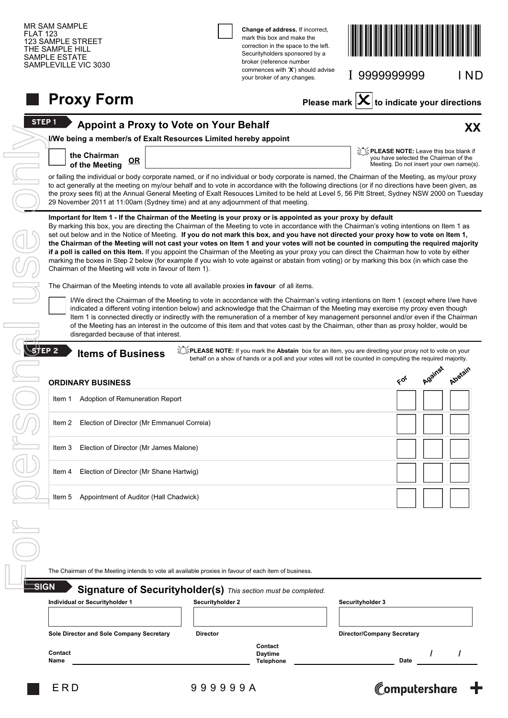|                   |        | SAMPLEVILLE VIC 3030                                                                                                                                                                                                                                                                                                                                                                                                                                                                                                                                                                                                                                                                                                                                                                                                                                                                                   |                  | broker (reference number<br>commences with 'X') should advise<br>your broker of any changes.                                                                                                                          |                          | I 9999999999                                |    |         | I ND                                     |
|-------------------|--------|--------------------------------------------------------------------------------------------------------------------------------------------------------------------------------------------------------------------------------------------------------------------------------------------------------------------------------------------------------------------------------------------------------------------------------------------------------------------------------------------------------------------------------------------------------------------------------------------------------------------------------------------------------------------------------------------------------------------------------------------------------------------------------------------------------------------------------------------------------------------------------------------------------|------------------|-----------------------------------------------------------------------------------------------------------------------------------------------------------------------------------------------------------------------|--------------------------|---------------------------------------------|----|---------|------------------------------------------|
|                   |        | <b>Proxy Form</b>                                                                                                                                                                                                                                                                                                                                                                                                                                                                                                                                                                                                                                                                                                                                                                                                                                                                                      |                  |                                                                                                                                                                                                                       | Please mark $\mathbf{X}$ |                                             |    |         | $ $ to indicate your directions          |
| STEP <sub>1</sub> |        | <b>Appoint a Proxy to Vote on Your Behalf</b>                                                                                                                                                                                                                                                                                                                                                                                                                                                                                                                                                                                                                                                                                                                                                                                                                                                          |                  |                                                                                                                                                                                                                       |                          |                                             |    |         | XX                                       |
|                   |        | I/We being a member/s of Exalt Resources Limited hereby appoint<br>the Chairman                                                                                                                                                                                                                                                                                                                                                                                                                                                                                                                                                                                                                                                                                                                                                                                                                        |                  |                                                                                                                                                                                                                       |                          | <b>THEASE NOTE:</b> Leave this box blank if |    |         | you have selected the Chairman of the    |
|                   |        | OR<br>of the Meeting<br>or failing the individual or body corporate named, or if no individual or body corporate is named, the Chairman of the Meeting, as my/our proxy                                                                                                                                                                                                                                                                                                                                                                                                                                                                                                                                                                                                                                                                                                                                |                  |                                                                                                                                                                                                                       |                          |                                             |    |         | Meeting. Do not insert your own name(s). |
|                   |        | to act generally at the meeting on my/our behalf and to vote in accordance with the following directions (or if no directions have been given, as<br>the proxy sees fit) at the Annual General Meeting of Exalt Resouces Limited to be held at Level 5, 56 Pitt Street, Sydney NSW 2000 on Tuesday<br>29 November 2011 at 11:00am (Sydney time) and at any adjournment of that meeting.                                                                                                                                                                                                                                                                                                                                                                                                                                                                                                                |                  |                                                                                                                                                                                                                       |                          |                                             |    |         |                                          |
|                   |        | Important for Item 1 - If the Chairman of the Meeting is your proxy or is appointed as your proxy by default<br>By marking this box, you are directing the Chairman of the Meeting to vote in accordance with the Chairman's voting intentions on Item 1 as<br>set out below and in the Notice of Meeting. If you do not mark this box, and you have not directed your proxy how to vote on Item 1,<br>the Chairman of the Meeting will not cast your votes on Item 1 and your votes will not be counted in computing the required majority<br>if a poll is called on this Item. If you appoint the Chairman of the Meeting as your proxy you can direct the Chairman how to vote by either<br>marking the boxes in Step 2 below (for example if you wish to vote against or abstain from voting) or by marking this box (in which case the<br>Chairman of the Meeting will vote in favour of Item 1). |                  |                                                                                                                                                                                                                       |                          |                                             |    |         |                                          |
|                   |        | The Chairman of the Meeting intends to vote all available proxies in favour of all items.                                                                                                                                                                                                                                                                                                                                                                                                                                                                                                                                                                                                                                                                                                                                                                                                              |                  |                                                                                                                                                                                                                       |                          |                                             |    |         |                                          |
|                   |        | I/We direct the Chairman of the Meeting to vote in accordance with the Chairman's voting intentions on Item 1 (except where I/we have<br>indicated a different voting intention below) and acknowledge that the Chairman of the Meeting may exercise my proxy even though                                                                                                                                                                                                                                                                                                                                                                                                                                                                                                                                                                                                                              |                  |                                                                                                                                                                                                                       |                          |                                             |    |         |                                          |
|                   |        | Item 1 is connected directly or indirectly with the remuneration of a member of key management personnel and/or even if the Chairman<br>of the Meeting has an interest in the outcome of this item and that votes cast by the Chairman, other than as proxy holder, would be<br>disregarded because of that interest.                                                                                                                                                                                                                                                                                                                                                                                                                                                                                                                                                                                  |                  |                                                                                                                                                                                                                       |                          |                                             |    |         |                                          |
|                   |        | <b>Items of Business</b>                                                                                                                                                                                                                                                                                                                                                                                                                                                                                                                                                                                                                                                                                                                                                                                                                                                                               |                  | SPLEASE NOTE: If you mark the Abstain box for an item, you are directing your proxy not to vote on your<br>behalf on a show of hands or a poll and your votes will not be counted in computing the required majority. |                          |                                             |    |         |                                          |
|                   |        | <b>ORDINARY BUSINESS</b>                                                                                                                                                                                                                                                                                                                                                                                                                                                                                                                                                                                                                                                                                                                                                                                                                                                                               |                  |                                                                                                                                                                                                                       |                          |                                             | 66 | Against | Algérain                                 |
|                   | Item 1 | Adoption of Remuneration Report                                                                                                                                                                                                                                                                                                                                                                                                                                                                                                                                                                                                                                                                                                                                                                                                                                                                        |                  |                                                                                                                                                                                                                       |                          |                                             |    |         |                                          |
|                   | Item 2 | Election of Director (Mr Emmanuel Correia)                                                                                                                                                                                                                                                                                                                                                                                                                                                                                                                                                                                                                                                                                                                                                                                                                                                             |                  |                                                                                                                                                                                                                       |                          |                                             |    |         |                                          |
|                   | Item 3 | Election of Director (Mr James Malone)                                                                                                                                                                                                                                                                                                                                                                                                                                                                                                                                                                                                                                                                                                                                                                                                                                                                 |                  |                                                                                                                                                                                                                       |                          |                                             |    |         |                                          |
|                   | ltem 4 | Election of Director (Mr Shane Hartwig)                                                                                                                                                                                                                                                                                                                                                                                                                                                                                                                                                                                                                                                                                                                                                                                                                                                                |                  |                                                                                                                                                                                                                       |                          |                                             |    |         |                                          |
| $$$ TEP 2         | Item 5 | Appointment of Auditor (Hall Chadwick)                                                                                                                                                                                                                                                                                                                                                                                                                                                                                                                                                                                                                                                                                                                                                                                                                                                                 |                  |                                                                                                                                                                                                                       |                          |                                             |    |         |                                          |
|                   |        |                                                                                                                                                                                                                                                                                                                                                                                                                                                                                                                                                                                                                                                                                                                                                                                                                                                                                                        |                  |                                                                                                                                                                                                                       |                          |                                             |    |         |                                          |
|                   |        |                                                                                                                                                                                                                                                                                                                                                                                                                                                                                                                                                                                                                                                                                                                                                                                                                                                                                                        |                  |                                                                                                                                                                                                                       |                          |                                             |    |         |                                          |
|                   |        | The Chairman of the Meeting intends to vote all available proxies in favour of each item of business.                                                                                                                                                                                                                                                                                                                                                                                                                                                                                                                                                                                                                                                                                                                                                                                                  |                  |                                                                                                                                                                                                                       |                          |                                             |    |         |                                          |
| SIGN              |        | Signature of Securityholder(s) This section must be completed.                                                                                                                                                                                                                                                                                                                                                                                                                                                                                                                                                                                                                                                                                                                                                                                                                                         |                  |                                                                                                                                                                                                                       |                          |                                             |    |         |                                          |
|                   |        | Individual or Securityholder 1                                                                                                                                                                                                                                                                                                                                                                                                                                                                                                                                                                                                                                                                                                                                                                                                                                                                         | Securityholder 2 |                                                                                                                                                                                                                       |                          | Securityholder 3                            |    |         |                                          |
|                   |        | Sole Director and Sole Company Secretary                                                                                                                                                                                                                                                                                                                                                                                                                                                                                                                                                                                                                                                                                                                                                                                                                                                               | <b>Director</b>  |                                                                                                                                                                                                                       |                          | <b>Director/Company Secretary</b>           |    |         |                                          |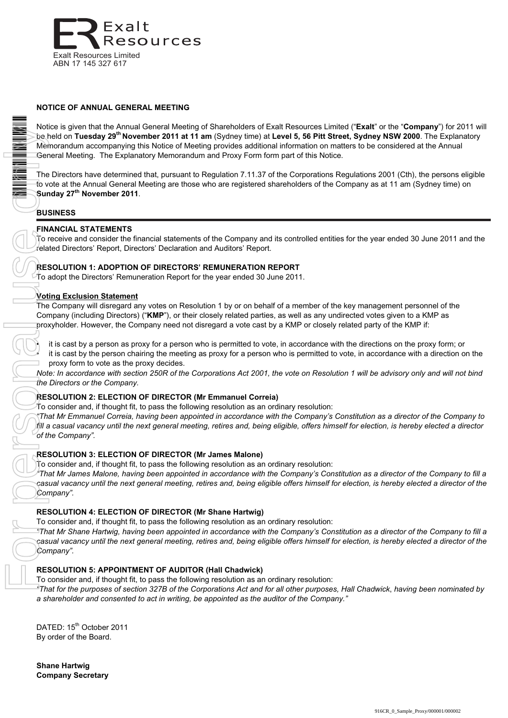

# **NOTICE OF ANNUAL GENERAL MEETING**

Notice is given that the Annual General Meeting of Shareholders of Exalt Resources Limited ("**Exalt**" or the "**Company**") for 2011 will be held on **Tuesday 29th November 2011 at 11 am** (Sydney time) at **Level 5, 56 Pitt Street, Sydney NSW 2000**. The Explanatory Memorandum accompanying this Notice of Meeting provides additional information on matters to be considered at the Annual General Meeting. The Explanatory Memorandum and Proxy Form form part of this Notice.

The Directors have determined that, pursuant to Regulation 7.11.37 of the Corporations Regulations 2001 (Cth), the persons eligible to vote at the Annual General Meeting are those who are registered shareholders of the Company as at 11 am (Sydney time) on **Sunday 27th November 2011**.

# **BUSINESS**

# **FINANCIAL STATEMENTS**

To receive and consider the financial statements of the Company and its controlled entities for the year ended 30 June 2011 and the related Directors' Report, Directors' Declaration and Auditors' Report.

#### **RESOLUTION 1: ADOPTION OF DIRECTORS' REMUNERATION REPORT**

To adopt the Directors' Remuneration Report for the year ended 30 June 2011.

#### **Voting Exclusion Statement**

The Company will disregard any votes on Resolution 1 by or on behalf of a member of the key management personnel of the Company (including Directors) ("**KMP**"), or their closely related parties, as well as any undirected votes given to a KMP as proxyholder. However, the Company need not disregard a vote cast by a KMP or closely related party of the KMP if:

• it is cast by a person as proxy for a person who is permitted to vote, in accordance with the directions on the proxy form; or • it is cast by the person chairing the meeting as proxy for a person who is permitted to vote, in accordance with a direction on the proxy form to vote as the proxy decides.

*Note: In accordance with section 250R of the Corporations Act 2001, the vote on Resolution 1 will be advisory only and will not bind the Directors or the Company.*

# **RESOLUTION 2: ELECTION OF DIRECTOR (Mr Emmanuel Correia)**

 $\tau$ o consider and, if thought fit, to pass the following resolution as an ordinary resolution:

*"That Mr Emmanuel Correia, having been appointed in accordance with the Company's Constitution as a director of the Company to fill a casual vacancy until the next general meeting, retires and, being eligible, offers himself for election, is hereby elected a director of the Company".*

#### **RESOLUTION 3: ELECTION OF DIRECTOR (Mr James Malone)**

To consider and, if thought fit, to pass the following resolution as an ordinary resolution:

*"That Mr James Malone, having been appointed in accordance with the Company's Constitution as a director of the Company to fill a casual vacancy until the next general meeting, retires and, being eligible offers himself for election, is hereby elected a director of the Company".*

# **RESOLUTION 4: ELECTION OF DIRECTOR (Mr Shane Hartwig)**

To consider and, if thought fit, to pass the following resolution as an ordinary resolution:

*"That Mr Shane Hartwig, having been appointed in accordance with the Company's Constitution as a director of the Company to fill a casual vacancy until the next general meeting, retires and, being eligible offers himself for election, is hereby elected a director of the Company".*

# **RESOLUTION 5: APPOINTMENT OF AUDITOR (Hall Chadwick)**

To consider and, if thought fit, to pass the following resolution as an ordinary resolution:

*"That for the purposes of section 327B of the Corporations Act and for all other purposes, Hall Chadwick*, *having been nominated by a shareholder and consented to act in writing, be appointed as the auditor of the Company."*

DATED: 15<sup>th</sup> October 2011 By order of the Board.

**Shane Hartwig Company Secretary**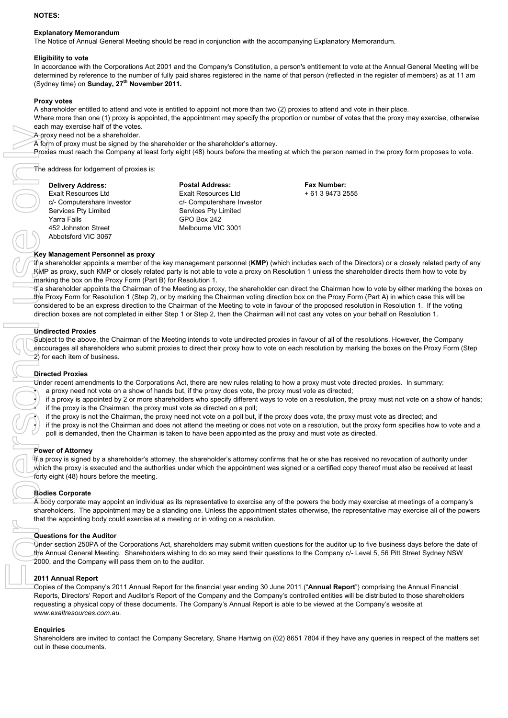#### **NOTES:**

#### **Explanatory Memorandum**

The Notice of Annual General Meeting should be read in conjunction with the accompanying Explanatory Memorandum.

#### **Eligibility to vote**

In accordance with the Corporations Act 2001 and the Company's Constitution, a person's entitlement to vote at the Annual General Meeting will be determined by reference to the number of fully paid shares registered in the name of that person (reflected in the register of members) as at 11 am (Sydney time) on **Sunday, 27th November 2011.**

#### **Proxy votes**

A shareholder entitled to attend and vote is entitled to appoint not more than two (2) proxies to attend and vote in their place.

Where more than one (1) proxy is appointed, the appointment may specify the proportion or number of votes that the proxy may exercise, otherwise each may exercise half of the votes.

A proxy need not be a shareholder.

A form of proxy must be signed by the shareholder or the shareholder's attorney.

Proxies must reach the Company at least forty eight (48) hours before the meeting at which the person named in the proxy form proposes to vote.

The address for lodgement of proxies is:

| <b>Delivery Address:</b>   | <b>Postal Address:</b>     |
|----------------------------|----------------------------|
| Exalt Resources Ltd        | <b>Exalt Resources Ltd</b> |
| c/- Computershare Investor | c/- Computershare Investor |
| Services Pty Limited       | Services Pty Limited       |
| Yarra Falls                | GPO Box 242                |
| 452 Johnston Street        | Melbourne VIC 3001         |
| Abbotsford VIC 3067        |                            |
|                            |                            |

**Fax Number:** + 61 3 9473 2555

#### **Key Management Personnel as proxy**

If a shareholder appoints a member of the key management personnel (**KMP**) (which includes each of the Directors) or a closely related party of any KMP as proxy, such KMP or closely related party is not able to vote a proxy on Resolution 1 unless the shareholder directs them how to vote by marking the box on the Proxy Form (Part B) for Resolution 1.

If a shareholder appoints the Chairman of the Meeting as proxy, the shareholder can direct the Chairman how to vote by either marking the boxes on the Proxy Form for Resolution 1 (Step 2), or by marking the Chairman voting direction box on the Proxy Form (Part A) in which case this will be considered to be an express direction to the Chairman of the Meeting to vote in favour of the proposed resolution in Resolution 1. If the voting direction boxes are not completed in either Step 1 or Step 2, then the Chairman will not cast any votes on your behalf on Resolution 1.

#### **Undirected Proxies**

Subject to the above, the Chairman of the Meeting intends to vote undirected proxies in favour of all of the resolutions. However, the Company encourages all shareholders who submit proxies to direct their proxy how to vote on each resolution by marking the boxes on the Proxy Form (Step 2) for each item of business.

#### **Directed Proxies**

Under recent amendments to the Corporations Act, there are new rules relating to how a proxy must vote directed proxies. In summary:

• a proxy need not vote on a show of hands but, if the proxy does vote, the proxy must vote as directed;

• if a proxy is appointed by 2 or more shareholders who specify different ways to vote on a resolution, the proxy must not vote on a show of hands; if the proxy is the Chairman, the proxy must vote as directed on a poll;

• if the proxy is not the Chairman, the proxy need not vote on a poll but, if the proxy does vote, the proxy must vote as directed; and

• if the proxy is not the Chairman and does not attend the meeting or does not vote on a resolution, but the proxy form specifies how to vote and a poll is demanded, then the Chairman is taken to have been appointed as the proxy and must vote as directed.

#### **Power of Attorney**

If a proxy is signed by a shareholder's attorney, the shareholder's attorney confirms that he or she has received no revocation of authority under which the proxy is executed and the authorities under which the appointment was signed or a certified copy thereof must also be received at least forty eight (48) hours before the meeting.

#### **Bodies Corporate**

A body corporate may appoint an individual as its representative to exercise any of the powers the body may exercise at meetings of a company's shareholders. The appointment may be a standing one. Unless the appointment states otherwise, the representative may exercise all of the powers that the appointing body could exercise at a meeting or in voting on a resolution.

#### **Questions for the Auditor**

Under section 250PA of the Corporations Act, shareholders may submit written questions for the auditor up to five business days before the date of the Annual General Meeting. Shareholders wishing to do so may send their questions to the Company c/- Level 5, 56 Pitt Street Sydney NSW 2000, and the Company will pass them on to the auditor.

#### **2011 Annual Report**

Copies of the Company's 2011 Annual Report for the financial year ending 30 June 2011 ("**Annual Report**") comprising the Annual Financial Reports, Directors' Report and Auditor's Report of the Company and the Company's controlled entities will be distributed to those shareholders requesting a physical copy of these documents. The Company's Annual Report is able to be viewed at the Company's website at *www.exaltresources.com.au.*

#### **Enquiries**

Shareholders are invited to contact the Company Secretary, Shane Hartwig on (02) 8651 7804 if they have any queries in respect of the matters set out in these documents.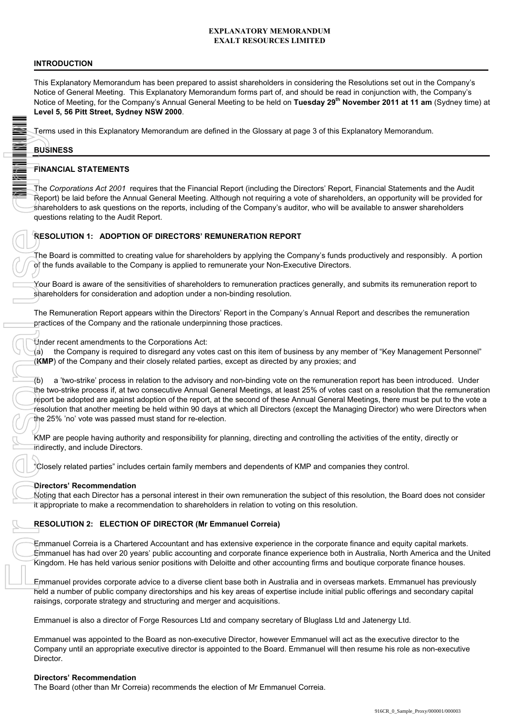# **EXPLANATORY MEMORANDUM EXALT RESOURCES LIMITED**

# **INTRODUCTION**

This Explanatory Memorandum has been prepared to assist shareholders in considering the Resolutions set out in the Company's Notice of General Meeting. This Explanatory Memorandum forms part of, and should be read in conjunction with, the Company's Notice of Meeting, for the Company's Annual General Meeting to be held on **Tuesday 29th November 2011 at 11 am** (Sydney time) at **Level 5, 56 Pitt Street, Sydney NSW 2000**.

Terms used in this Explanatory Memorandum are defined in the Glossary at page 3 of this Explanatory Memorandum.

# **BUSINESS**

# **FINANCIAL STATEMENTS**

The *Corporations Act 2001* requires that the Financial Report (including the Directors' Report, Financial Statements and the Audit Report) be laid before the Annual General Meeting. Although not requiring a vote of shareholders, an opportunity will be provided for shareholders to ask questions on the reports, including of the Company's auditor, who will be available to answer shareholders questions relating to the Audit Report.

# **RESOLUTION 1: ADOPTION OF DIRECTORS' REMUNERATION REPORT**

The Board is committed to creating value for shareholders by applying the Company's funds productively and responsibly. A portion of the funds available to the Company is applied to remunerate your Non-Executive Directors.

Your Board is aware of the sensitivities of shareholders to remuneration practices generally, and submits its remuneration report to shareholders for consideration and adoption under a non-binding resolution.

The Remuneration Report appears within the Directors' Report in the Company's Annual Report and describes the remuneration practices of the Company and the rationale underpinning those practices.

Under recent amendments to the Corporations Act:

(a) the Company is required to disregard any votes cast on this item of business by any member of "Key Management Personnel" (**KMP**) of the Company and their closely related parties, except as directed by any proxies; and

(b) a 'two-strike' process in relation to the advisory and non-binding vote on the remuneration report has been introduced. Under the two-strike process if, at two consecutive Annual General Meetings, at least 25% of votes cast on a resolution that the remuneration report be adopted are against adoption of the report, at the second of these Annual General Meetings, there must be put to the vote a resolution that another meeting be held within 90 days at which all Directors (except the Managing Director) who were Directors when the 25% 'no' vote was passed must stand for re-election.

KMP are people having authority and responsibility for planning, directing and controlling the activities of the entity, directly or indirectly, and include Directors.

"Closely related parties" includes certain family members and dependents of KMP and companies they control.

# **Directors' Recommendation**

Noting that each Director has a personal interest in their own remuneration the subject of this resolution, the Board does not consider it appropriate to make a recommendation to shareholders in relation to voting on this resolution.

# **RESOLUTION 2: ELECTION OF DIRECTOR (Mr Emmanuel Correia)**

Emmanuel Correia is a Chartered Accountant and has extensive experience in the corporate finance and equity capital markets. Emmanuel has had over 20 years' public accounting and corporate finance experience both in Australia, North America and the United Kingdom. He has held various senior positions with Deloitte and other accounting firms and boutique corporate finance houses.

Emmanuel provides corporate advice to a diverse client base both in Australia and in overseas markets. Emmanuel has previously held a number of public company directorships and his key areas of expertise include initial public offerings and secondary capital raisings, corporate strategy and structuring and merger and acquisitions.

Emmanuel is also a director of Forge Resources Ltd and company secretary of Bluglass Ltd and Jatenergy Ltd.

Emmanuel was appointed to the Board as non-executive Director, however Emmanuel will act as the executive director to the Company until an appropriate executive director is appointed to the Board. Emmanuel will then resume his role as non-executive Director.

# **Directors' Recommendation**

The Board (other than Mr Correia) recommends the election of Mr Emmanuel Correia.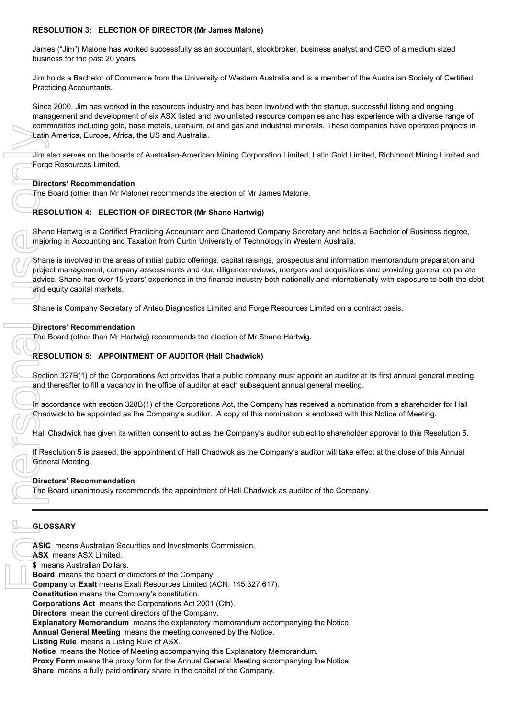# **RESOLUTION 3: ELECTION OF DIRECTOR (Mr James Malone)**

James ("Jim") Malone has worked successfully as an accountant, stockbroker, business analyst and CEO of a medium sized business for the past 20 years.

Jim holds a Bachelor of Commerce from the University of Western Australia and is a member of the Australian Society of Certified Practicing Accountants.

Since 2000, Jim has worked in the resources industry and has been involved with the startup, successful listing and ongoing management and development of six ASX listed and two unlisted resource companies and has experience with a diverse range of commodities including gold, base metals, uranium, oil and gas and industrial minerals. These companies have operated projects in Latin America, Europe, Africa, the US and Australia.

Jim also serves on the boards of Australian-American Mining Corporation Limited, Latin Gold Limited, Richmond Mining Limited and Forge Resources Limited.

# **Directors' Recommendation**

The Board (other than Mr Malone) recommends the election of Mr James Malone.

# **RESOLUTION 4: ELECTION OF DIRECTOR (Mr Shane Hartwig)**

Shane Hartwig is a Certified Practicing Accountant and Chartered Company Secretary and holds a Bachelor of Business degree, majoring in Accounting and Taxation from Curtin University of Technology in Western Australia.

Shane is involved in the areas of initial public offerings, capital raisings, prospectus and information memorandum preparation and project management, company assessments and due diligence reviews, mergers and acquisitions and providing general corporate advice. Shane has over 15 years' experience in the finance industry both nationally and internationally with exposure to both the debt and equity capital markets. **Share means a fully proper shares, whenever the capital company. The capital America, Europe, Africa, the US and Australia. Jim also serves on the boards of Australian-American Mining Corporation<br>
First Resources Limited.** 

Shane is Company Secretary of Anteo Diagnostics Limited and Forge Resources Limited on a contract basis.

# **Directors' Recommendation**

The Board (other than Mr Hartwig) recommends the election of Mr Shane Hartwig.

# **RESOLUTION 5: APPOINTMENT OF AUDITOR (Hall Chadwick)**

Section 327B(1) of the Corporations Act provides that a public company must appoint an auditor at its first annual general meeting and thereafter to fill a vacancy in the office of auditor at each subsequent annual general meeting.

In accordance with section 328B(1) of the Corporations Act, the Company has received a nomination from a shareholder for Hall Chadwick to be appointed as the Company's auditor. A copy of this nomination is enclosed with this Notice of Meeting.

Hall Chadwick has given its written consent to act as the Company's auditor subject to shareholder approval to this Resolution 5.

If Resolution 5 is passed, the appointment of Hall Chadwick as the Company's auditor will take effect at the close of this Annual General Meeting.

# **Directors' Recommendation**

The Board unanimously recommends the appointment of Hall Chadwick as auditor of the Company.

# **GLOSSARY**

**ASIC** means Australian Securities and Investments Commission.

**ASX** means ASX Limited.

**\$** means Australian Dollars.

**Board** means the board of directors of the Company.

**Company** or **Exalt** means Exalt Resources Limited (ACN: 145 327 617).

**Constitution** means the Company's constitution.

**Corporations Act** means the Corporations Act 2001 (Cth).

**Directors** mean the current directors of the Company.

**Explanatory Memorandum** means the explanatory memorandum accompanying the Notice.

**Annual General Meeting** means the meeting convened by the Notice.

**Listing Rule** means a Listing Rule of ASX.

**Notice** means the Notice of Meeting accompanying this Explanatory Memorandum.

**Proxy Form** means the proxy form for the Annual General Meeting accompanying the Notice.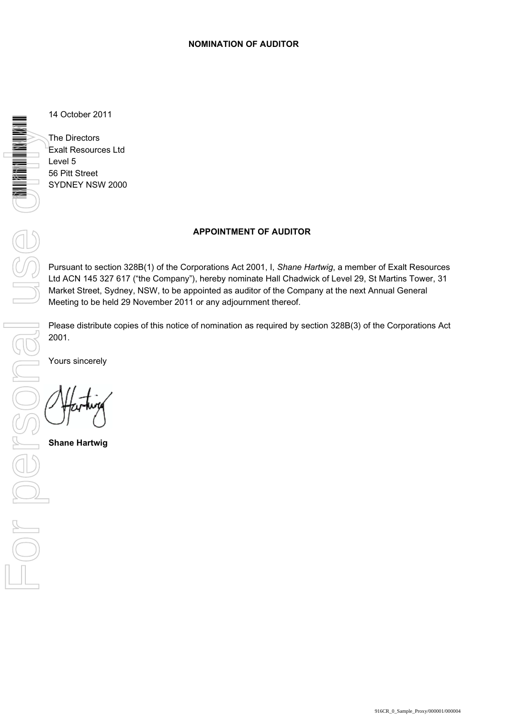14 October 2011

The Directors Exalt Resources Ltd Level 5 56 Pitt Street SYDNEY NSW 2000

# **APPOINTMENT OF AUDITOR**

Pursuant to section 328B(1) of the Corporations Act 2001, I, *Shane Hartwig*, a member of Exalt Resources Ltd ACN 145 327 617 ("the Company"), hereby nominate Hall Chadwick of Level 29, St Martins Tower, 31 Market Street, Sydney, NSW, to be appointed as auditor of the Company at the next Annual General Meeting to be held 29 November 2011 or any adjournment thereof.

2001.

Yours sincerely

**Shane Hartwig**